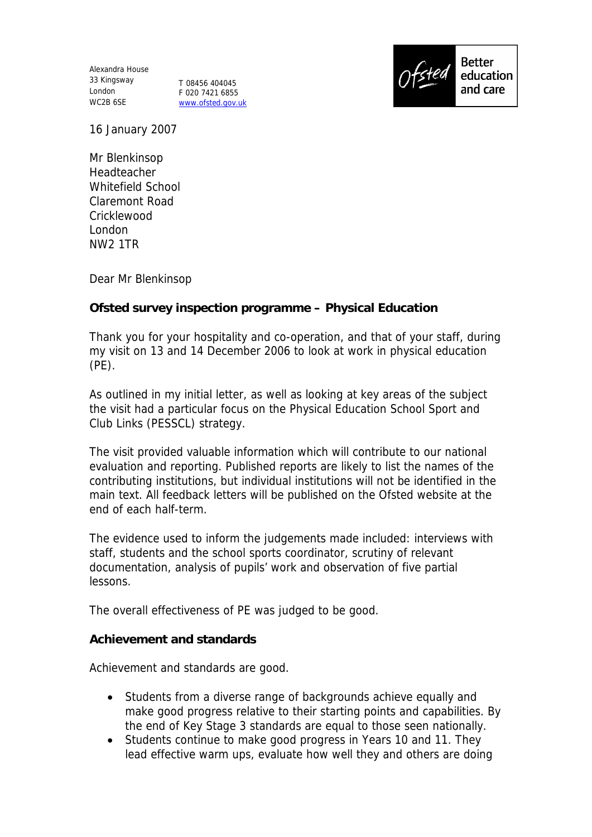Alexandra House 33 Kingsway London WC2B 6SE

T 08456 404045 F 020 7421 6855 www.ofsted.gov.uk



16 January 2007

Mr Blenkinsop Headteacher Whitefield School Claremont Road Cricklewood London NW2 1TR

Dear Mr Blenkinsop

**Ofsted survey inspection programme – Physical Education**

Thank you for your hospitality and co-operation, and that of your staff, during my visit on 13 and 14 December 2006 to look at work in physical education (PE).

As outlined in my initial letter, as well as looking at key areas of the subject the visit had a particular focus on the Physical Education School Sport and Club Links (PESSCL) strategy.

The visit provided valuable information which will contribute to our national evaluation and reporting. Published reports are likely to list the names of the contributing institutions, but individual institutions will not be identified in the main text. All feedback letters will be published on the Ofsted website at the end of each half-term.

The evidence used to inform the judgements made included: interviews with staff, students and the school sports coordinator, scrutiny of relevant documentation, analysis of pupils' work and observation of five partial lessons.

The overall effectiveness of PE was judged to be good.

**Achievement and standards**

Achievement and standards are good.

- Students from a diverse range of backgrounds achieve equally and make good progress relative to their starting points and capabilities. By the end of Key Stage 3 standards are equal to those seen nationally.
- Students continue to make good progress in Years 10 and 11. They lead effective warm ups, evaluate how well they and others are doing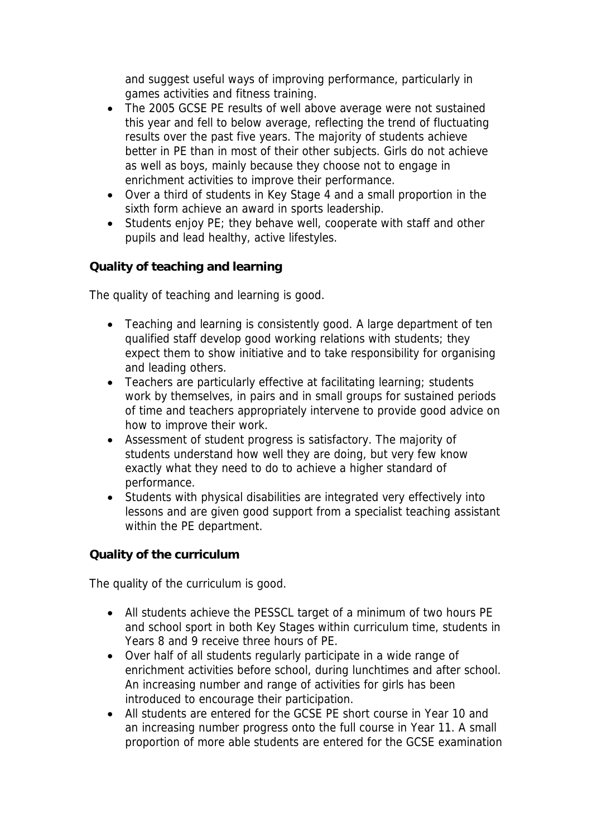and suggest useful ways of improving performance, particularly in games activities and fitness training.

- The 2005 GCSE PE results of well above average were not sustained this year and fell to below average, reflecting the trend of fluctuating results over the past five years. The majority of students achieve better in PE than in most of their other subjects. Girls do not achieve as well as boys, mainly because they choose not to engage in enrichment activities to improve their performance.
- Over a third of students in Key Stage 4 and a small proportion in the sixth form achieve an award in sports leadership.
- Students enjoy PE; they behave well, cooperate with staff and other pupils and lead healthy, active lifestyles.

**Quality of teaching and learning**

The quality of teaching and learning is good.

- Teaching and learning is consistently good. A large department of ten qualified staff develop good working relations with students; they expect them to show initiative and to take responsibility for organising and leading others.
- Teachers are particularly effective at facilitating learning; students work by themselves, in pairs and in small groups for sustained periods of time and teachers appropriately intervene to provide good advice on how to improve their work.
- Assessment of student progress is satisfactory. The majority of students understand how well they are doing, but very few know exactly what they need to do to achieve a higher standard of performance.
- Students with physical disabilities are integrated very effectively into lessons and are given good support from a specialist teaching assistant within the PE department.

**Quality of the curriculum**

The quality of the curriculum is good.

- All students achieve the PESSCL target of a minimum of two hours PE and school sport in both Key Stages within curriculum time, students in Years 8 and 9 receive three hours of PE.
- Over half of all students regularly participate in a wide range of enrichment activities before school, during lunchtimes and after school. An increasing number and range of activities for girls has been introduced to encourage their participation.
- All students are entered for the GCSE PE short course in Year 10 and an increasing number progress onto the full course in Year 11. A small proportion of more able students are entered for the GCSE examination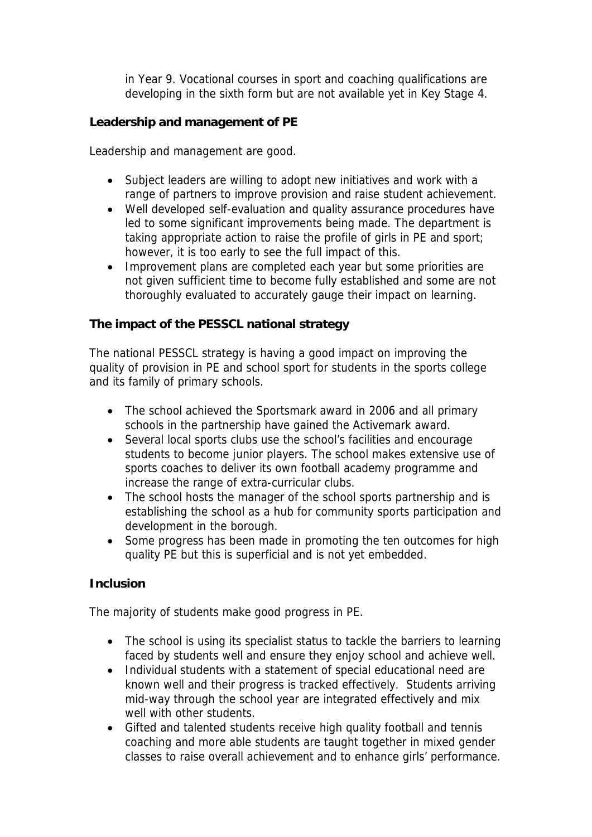in Year 9. Vocational courses in sport and coaching qualifications are developing in the sixth form but are not available yet in Key Stage 4.

**Leadership and management of PE**

Leadership and management are good.

- Subject leaders are willing to adopt new initiatives and work with a range of partners to improve provision and raise student achievement.
- Well developed self-evaluation and quality assurance procedures have led to some significant improvements being made. The department is taking appropriate action to raise the profile of girls in PE and sport; however, it is too early to see the full impact of this.
- Improvement plans are completed each year but some priorities are not given sufficient time to become fully established and some are not thoroughly evaluated to accurately gauge their impact on learning.

**The impact of the PESSCL national strategy**

The national PESSCL strategy is having a good impact on improving the quality of provision in PE and school sport for students in the sports college and its family of primary schools.

- The school achieved the Sportsmark award in 2006 and all primary schools in the partnership have gained the Activemark award.
- Several local sports clubs use the school's facilities and encourage students to become junior players. The school makes extensive use of sports coaches to deliver its own football academy programme and increase the range of extra-curricular clubs.
- The school hosts the manager of the school sports partnership and is establishing the school as a hub for community sports participation and development in the borough.
- Some progress has been made in promoting the ten outcomes for high quality PE but this is superficial and is not yet embedded.

## **Inclusion**

The majority of students make good progress in PE.

- The school is using its specialist status to tackle the barriers to learning faced by students well and ensure they enjoy school and achieve well.
- Individual students with a statement of special educational need are known well and their progress is tracked effectively. Students arriving mid-way through the school year are integrated effectively and mix well with other students.
- Gifted and talented students receive high quality football and tennis coaching and more able students are taught together in mixed gender classes to raise overall achievement and to enhance girls' performance.